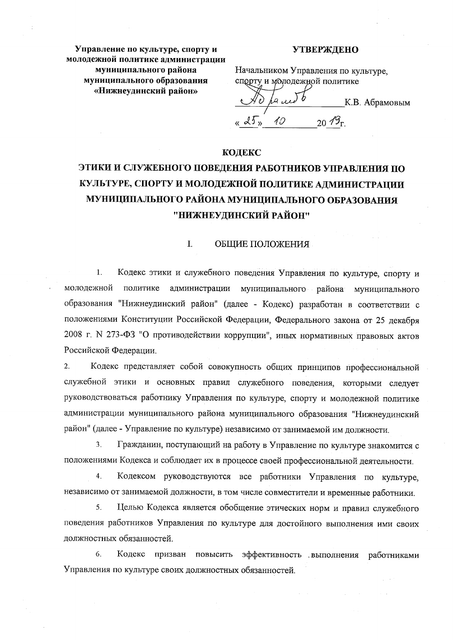Управление по культуре, спорту и молодежной политике администрации муниципального района муниципального образования «Нижнеудинский район»

## **УТВЕРЖДЕНО**

Начальником Управления по культуре. спорту и молодежной политике

م رو К.В. Абрамовым « 25 » 10 20  $\mathscr{O}_{\Gamma}$ 

# **КОДЕКС**

# ЭТИКИ И СЛУЖЕБНОГО ПОВЕДЕНИЯ РАБОТНИКОВ УПРАВЛЕНИЯ ПО КУЛЬТУРЕ, СПОРТУ И МОЛОДЕЖНОЙ ПОЛИТИКЕ АДМИНИСТРАЦИИ МУНИЦИПАЛЬНОГО РАЙОНА МУНИЦИПАЛЬНОГО ОБРАЗОВАНИЯ "НИЖНЕУДИНСКИЙ РАЙОН"

#### $\mathbf{L}$ ОБЩИЕ ПОЛОЖЕНИЯ

 $\mathbf{1}$ . Кодекс этики и служебного поведения Управления по культуре, спорту и молодежной политике администрации муниципального района муниципального образования "Нижнеудинский район" (далее - Кодекс) разработан в соответствии с положениями Конституции Российской Федерации, Федерального закона от 25 декабря 2008 г. N 273-ФЗ "О противодействии коррупции", иных нормативных правовых актов Российской Федерации.

 $2.$ Кодекс представляет собой совокупность общих принципов профессиональной служебной этики и основных правил служебного поведения, которыми следует руководствоваться работнику Управления по культуре, спорту и молодежной политике администрации муниципального района муниципального образования "Нижнеудинский район" (далее - Управление по культуре) независимо от занимаемой им должности.

Гражданин, поступающий на работу в Управление по культуре знакомится с  $3.$ положениями Кодекса и соблюдает их в процессе своей профессиональной деятельности.

 $\overline{4}$ . Кодексом руководствуются все работники Управления по культуре, независимо от занимаемой должности, в том числе совместители и временные работники.

 $5<sub>1</sub>$ Целью Кодекса является обобщение этических норм и правил служебного поведения работников Управления по культуре для достойного выполнения ими своих должностных обязанностей.

6. Кодекс призван повысить эффективность выполнения работниками Управления по культуре своих должностных обязанностей.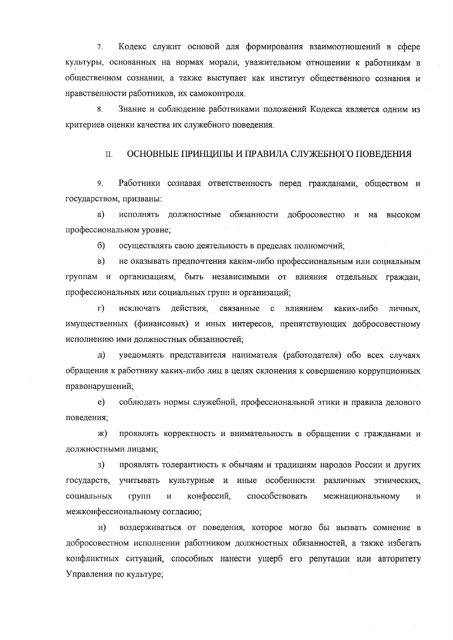$7<sup>1</sup>$ Кодекс служит основой для формирования взаимоотношений в сфере культуры, основанных на нормах морали, уважительном отношении к работникам в общественном сознании, а также выступает как институт общественного сознания и нравственности работников, их самоконтроля.

Знание и соблюдение работниками положений Кодекса является одним из 8. критериев оценки качества их служебного поведения.

#### ОСНОВНЫЕ ПРИНЦИПЫ И ПРАВИЛА СЛУЖЕБНОГО ПОВЕДЕНИЯ  $\Pi$ .

9. Работники сознавая ответственность перед гражданами, обществом и государством, призваны:

исполнять должностные обязанности добросовестно и на a) высоком профессиональном уровне;

 $\sigma$ осуществлять свою деятельность в пределах полномочий;

 $_{\rm B}$ ) не оказывать предпочтения каким-либо профессиональным или социальным группам и организациям, быть независимыми от влияния отдельных граждан, профессиональных или социальных групп и организаций;

 $\Gamma$ ) исключать действия. связанные с влиянием каких-либо личных, имущественных (финансовых) и иных интересов, препятствующих добросовестному исполнению ими должностных обязанностей;

уведомлять представителя нанимателя (работодателя) обо всех случаях  $\pi$ обращения к работнику каких-либо лиц в целях склонения к совершению коррупционных правонарушений;

соблюдать нормы служебной, профессиональной этики и правила делового  $e)$ поведения;

проявлять корректность и внимательность в обращении с гражданами и ж) должностными лицами;

проявлять толерантность к обычаям и традициям народов России и других  $3)$ учитывать культурные и иные особенности различных этнических, государств, конфессий, способствовать социальных групп  $\overline{\mathbf{M}}$ межнациональному  $\mathbf{M}$ межконфессиональному согласию;

воздерживаться от поведения, которое могло бы вызвать сомнение в  $\mathbf{H}$ добросовестном исполнении работником должностных обязанностей, а также избегать конфликтных ситуаций, способных нанести ущерб его репутации или авторитету Управления по культуре;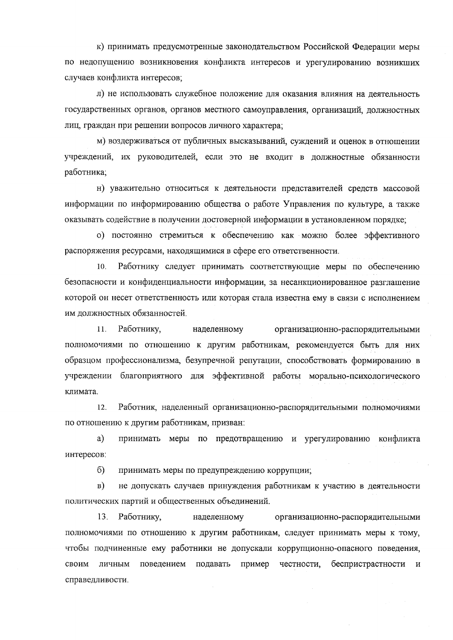к) принимать предусмотренные законодательством Российской Федерации меры по недопущению возникновения конфликта интересов и урегулированию возникших случаев конфликта интересов;

л) не использовать служебное положение для оказания влияния на деятельность государственных органов, органов местного самоуправления, организаций, должностных лиц, граждан при решении вопросов личного характера;

м) воздерживаться от публичных высказываний, суждений и оценок в отношении учреждений, их руководителей, если это не входит в должностные обязанности работника;

н) уважительно относиться к деятельности представителей средств массовой информации по информированию общества о работе Управления по культуре, а также оказывать содействие в получении достоверной информации в установленном порядке;

о) постоянно стремиться к обеспечению как можно более эффективного распоряжения ресурсами, находящимися в сфере его ответственности.

Работнику следует принимать соответствующие меры по обеспечению  $10.$ безопасности и конфиденциальности информации, за несанкционированное разглашение которой он несет ответственность или которая стала известна ему в связи с исполнением им должностных обязанностей.

Работнику,  $11.$ наделенному организационно-распорядительными полномочиями по отношению к другим работникам, рекомендуется быть для них образцом профессионализма, безупречной репутации, способствовать формированию в учреждении благоприятного для эффективной работы морально-психологического климата.

12. Работник, наделенный организационно-распорядительными полномочиями по отношению к другим работникам, призван:

a) принимать меры по предотвращению и урегулированию конфликта интересов:

 $6)$ принимать меры по предупреждению коррупции;

 $\mathbf{B}$ ) не допускать случаев принуждения работникам к участию в деятельности политических партий и общественных объединений.

13. Работнику, наделенному организационно-распорядительными полномочиями по отношению к другим работникам, следует принимать меры к тому, чтобы подчиненные ему работники не допускали коррупционно-опасного поведения, своим личным поведением подавать пример честности, беспристрастности  $\,$  M справедливости.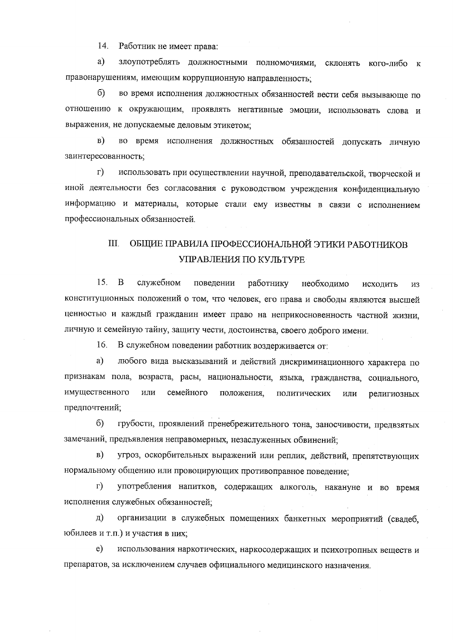$14.$ Работник не имеет права:

a) злоупотреблять должностными полномочиями, склонять кого-либо к правонарушениям, имеющим коррупционную направленность;

 $6)$ во время исполнения должностных обязанностей вести себя вызывающе по отношению к окружающим, проявлять негативные эмоции, использовать слова и выражения, не допускаемые деловым этикетом:

во время исполнения должностных обязанностей допускать личную  $B)$ заинтересованность;

 $\Gamma$ ) использовать при осуществлении научной, преподавательской, творческой и иной деятельности без согласования с руководством учреждения конфиденциальную информацию и материалы, которые стали ему известны в связи с исполнением профессиональных обязанностей.

## $III.$ ОБЩИЕ ПРАВИЛА ПРОФЕССИОНАЛЬНОЙ ЭТИКИ РАБОТНИКОВ УПРАВЛЕНИЯ ПО КУЛЬТУРЕ

15. B служебном поведении работнику необходимо исходить И3 конституционных положений о том, что человек, его права и свободы являются высшей ценностью и каждый гражданин имеет право на неприкосновенность частной жизни, личную и семейную тайну, защиту чести, достоинства, своего доброго имени.

В служебном поведении работник воздерживается от: 16.

любого вида высказываний и действий дискриминационного характера по  $a)$ признакам пола, возраста, расы, национальности, языка, гражданства, социального, имущественного или семейного положения, политических или религиозных предпочтений;

грубости, проявлений пренебрежительного тона, заносчивости, предвзятых 6) замечаний, предъявления неправомерных, незаслуженных обвинений;

угроз, оскорбительных выражений или реплик, действий, препятствующих  $_{\rm B})$ нормальному общению или провоцирующих противоправное поведение;

употребления напитков, содержащих алкоголь, накануне и во время  $\Gamma$ ) исполнения служебных обязанностей;

организации в служебных помещениях банкетных мероприятий (свадеб,  $\Box$ ) юбилеев и т.п.) и участия в них;

использования наркотических, наркосодержащих и психотропных веществ и  $e)$ препаратов, за исключением случаев официального медицинского назначения.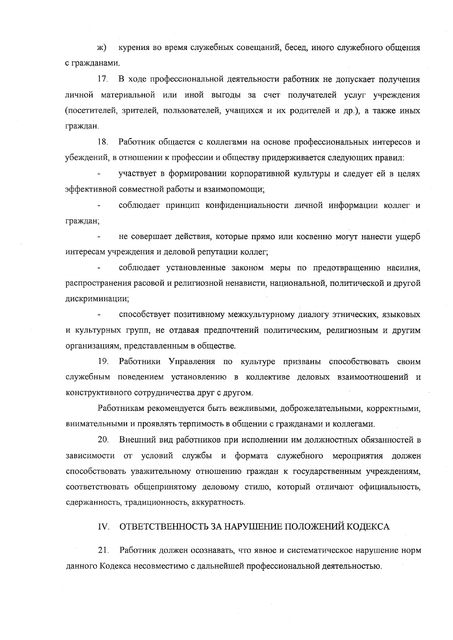курения во время служебных совещаний, бесед, иного служебного общения  $(K)$ с гражданами.

В ходе профессиональной деятельности работник не допускает получения 17. личной материальной или иной выгоды за счет получателей услуг учреждения (посетителей, зрителей, пользователей, учащихся и их родителей и др.), а также иных граждан.

18. Работник общается с коллегами на основе профессиональных интересов и убеждений, в отношении к профессии и обществу придерживается следующих правил:

участвует в формировании корпоративной культуры и следует ей в целях эффективной совместной работы и взаимопомощи;

соблюдает принцип конфиденциальности личной информации коллег и граждан;

не совершает действия, которые прямо или косвенно могут нанести ущерб интересам учреждения и деловой репутации коллег;

соблюдает установленные законом меры по предотвращению насилия, распространения расовой и религиозной ненависти, национальной, политической и другой дискриминации;

способствует позитивному межкультурному диалогу этнических, языковых и культурных групп, не отдавая предпочтений политическим, религиозным и другим организациям, представленным в обществе.

19. Работники Управления по культуре призваны способствовать своим служебным поведением установлению в коллективе деловых взаимоотношений и конструктивного сотрудничества друг с другом.

Работникам рекомендуется быть вежливыми, доброжелательными, корректными, внимательными и проявлять терпимость в общении с гражданами и коллегами.

20. Внешний вид работников при исполнении им должностных обязанностей в зависимости от условий службы и формата служебного мероприятия должен способствовать уважительному отношению граждан к государственным учреждениям, соответствовать общепринятому деловому стилю, который отличают официальность, сдержанность, традиционность, аккуратность.

ОТВЕТСТВЕННОСТЬ ЗА НАРУШЕНИЕ ПОЛОЖЕНИЙ КОДЕКСА IV.

 $21.$ Работник должен осознавать, что явное и систематическое нарушение норм данного Кодекса несовместимо с дальнейшей профессиональной деятельностью.